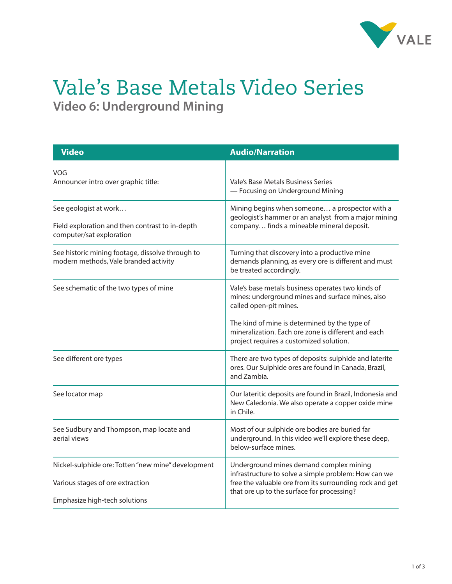

## Vale's Base Metals Video Series **Video 6: Underground Mining**

| <b>Video</b>                                                                                         | <b>Audio/Narration</b>                                                                                                                                                                                   |
|------------------------------------------------------------------------------------------------------|----------------------------------------------------------------------------------------------------------------------------------------------------------------------------------------------------------|
| VOG<br>Announcer intro over graphic title:                                                           | Vale's Base Metals Business Series<br>- Focusing on Underground Mining                                                                                                                                   |
| See geologist at work<br>Field exploration and then contrast to in-depth<br>computer/sat exploration | Mining begins when someone a prospector with a<br>geologist's hammer or an analyst from a major mining<br>company finds a mineable mineral deposit.                                                      |
| See historic mining footage, dissolve through to<br>modern methods, Vale branded activity            | Turning that discovery into a productive mine<br>demands planning, as every ore is different and must<br>be treated accordingly.                                                                         |
| See schematic of the two types of mine                                                               | Vale's base metals business operates two kinds of<br>mines: underground mines and surface mines, also<br>called open-pit mines.                                                                          |
|                                                                                                      | The kind of mine is determined by the type of<br>mineralization. Each ore zone is different and each<br>project requires a customized solution.                                                          |
| See different ore types                                                                              | There are two types of deposits: sulphide and laterite<br>ores. Our Sulphide ores are found in Canada, Brazil,<br>and Zambia.                                                                            |
| See locator map                                                                                      | Our lateritic deposits are found in Brazil, Indonesia and<br>New Caledonia. We also operate a copper oxide mine<br>in Chile.                                                                             |
| See Sudbury and Thompson, map locate and<br>aerial views                                             | Most of our sulphide ore bodies are buried far<br>underground. In this video we'll explore these deep,<br>below-surface mines.                                                                           |
| Nickel-sulphide ore: Totten "new mine" development<br>Various stages of ore extraction               | Underground mines demand complex mining<br>infrastructure to solve a simple problem: How can we<br>free the valuable ore from its surrounding rock and get<br>that ore up to the surface for processing? |
| Emphasize high-tech solutions                                                                        |                                                                                                                                                                                                          |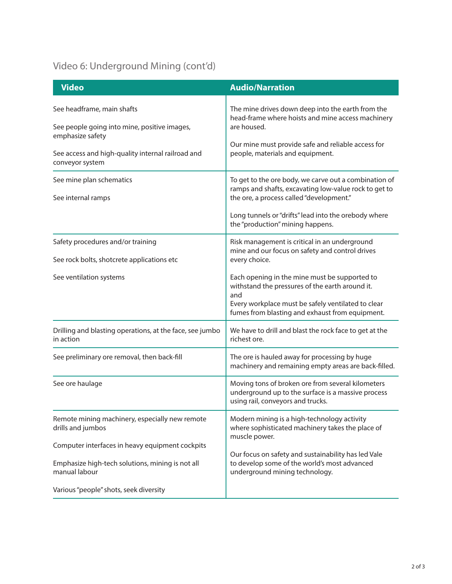## Video 6: Underground Mining (cont'd)

| <b>Video</b>                                                                             | <b>Audio/Narration</b>                                                                                                                                                                                           |
|------------------------------------------------------------------------------------------|------------------------------------------------------------------------------------------------------------------------------------------------------------------------------------------------------------------|
| See headframe, main shafts<br>See people going into mine, positive images,               | The mine drives down deep into the earth from the<br>head-frame where hoists and mine access machinery<br>are housed.                                                                                            |
| emphasize safety<br>See access and high-quality internal railroad and<br>conveyor system | Our mine must provide safe and reliable access for<br>people, materials and equipment.                                                                                                                           |
| See mine plan schematics<br>See internal ramps                                           | To get to the ore body, we carve out a combination of<br>ramps and shafts, excavating low-value rock to get to<br>the ore, a process called "development."                                                       |
|                                                                                          | Long tunnels or "drifts" lead into the orebody where<br>the "production" mining happens.                                                                                                                         |
| Safety procedures and/or training<br>See rock bolts, shotcrete applications etc          | Risk management is critical in an underground<br>mine and our focus on safety and control drives<br>every choice.                                                                                                |
| See ventilation systems                                                                  | Each opening in the mine must be supported to<br>withstand the pressures of the earth around it.<br>and<br>Every workplace must be safely ventilated to clear<br>fumes from blasting and exhaust from equipment. |
| Drilling and blasting operations, at the face, see jumbo<br>in action                    | We have to drill and blast the rock face to get at the<br>richest ore.                                                                                                                                           |
| See preliminary ore removal, then back-fill                                              | The ore is hauled away for processing by huge<br>machinery and remaining empty areas are back-filled.                                                                                                            |
| See ore haulage                                                                          | Moving tons of broken ore from several kilometers<br>underground up to the surface is a massive process<br>using rail, conveyors and trucks.                                                                     |
| Remote mining machinery, especially new remote<br>drills and jumbos                      | Modern mining is a high-technology activity<br>where sophisticated machinery takes the place of<br>muscle power.                                                                                                 |
| Computer interfaces in heavy equipment cockpits                                          |                                                                                                                                                                                                                  |
| Emphasize high-tech solutions, mining is not all<br>manual labour                        | Our focus on safety and sustainability has led Vale<br>to develop some of the world's most advanced<br>underground mining technology.                                                                            |
| Various "people" shots, seek diversity                                                   |                                                                                                                                                                                                                  |